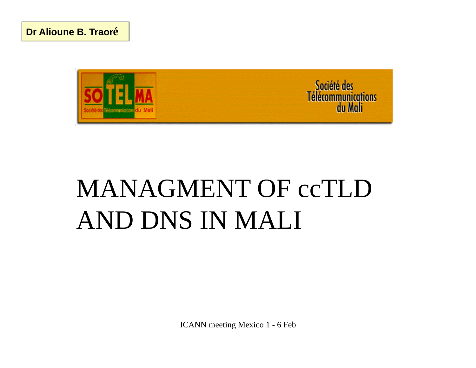



## **MANAGMENT OF CCTLD** AND DNS IN MALI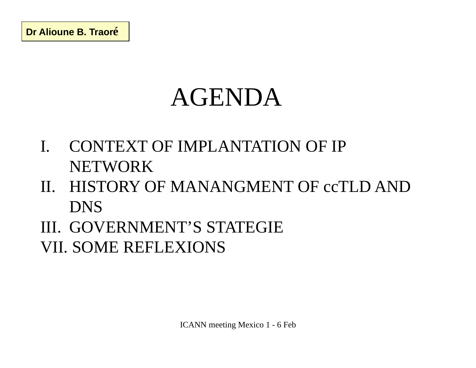## AGENDA

- I. CONTEXT OF IMPLANTATION OF IP NETWORK
- II. HISTORY OF MANANGMENT OF ccTLD AND DNS
- III. GOVERNMENT'S STATEGIE VII. SOME REFLEXIONS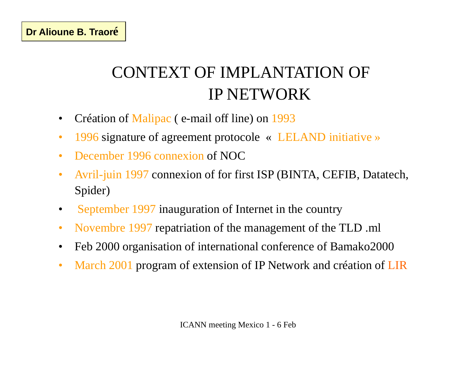### CONTEXT OF IMPLANTATION OFIP NETWORK

- $\bullet$ • Création of Malipac (e-mail off line) on 1993
- $\bullet$ 1996 signature of agreement protocole « LELAND initiative »
- $\bullet$ December 1996 connexion of NOC
- • Avril-juin 1997 connexion of for first ISP (BINTA, CEFIB, Datatech, Spider)
- $\bullet$ • September 1997 inauguration of Internet in the country
- •Novembre 1997 repatriation of the management of the TLD .ml
- $\bullet$ Feb 2000 organisation of international conference of Bamako2000
- $\bullet$ March 2001 program of extension of IP Network and création of LIR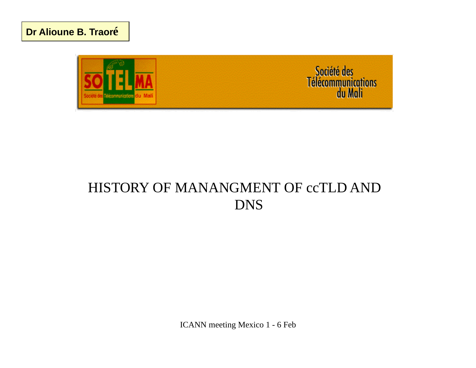#### **Dr Alioune B. Traoré**



#### HISTORY OF MANANGMENT OF ccTLD AND DNS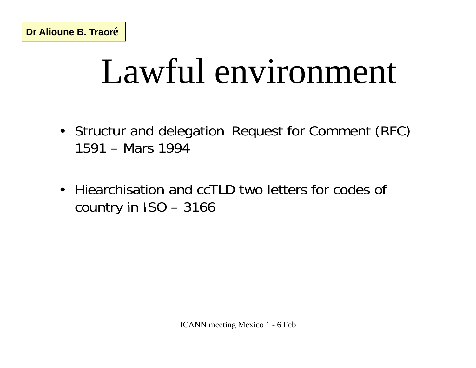# Lawful environment

- Structur and delegation Request for Comment (RFC) 1591 - Mars 1994
- Hiearchisation and ccTLD two letters for codes of country in  $ISO - 3166$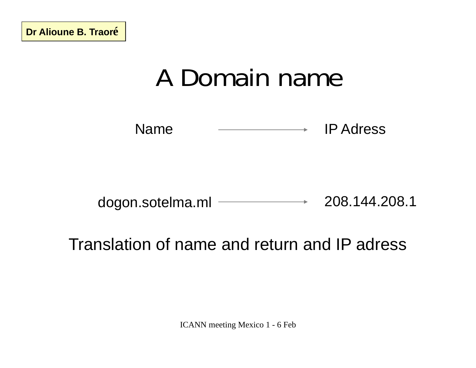### A Domain name

**Name** 

dogon.sotelma.ml - 208.144.208.1

Translation of name and return and IP adress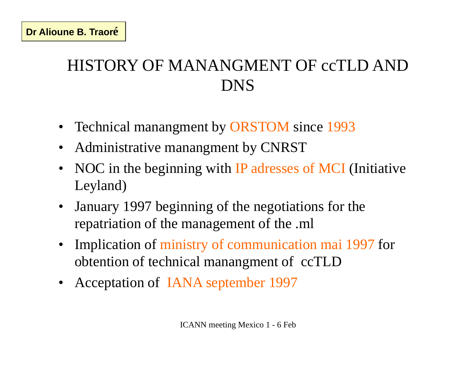### HISTORY OF MANANGMENT OF ccTLD AND DNS

- $\bullet$ Technical manangment by ORSTOM since 1993
- $\bullet$ Administrative manangment by CNRST
- $\bullet$ NOC in the beginning with IP adresses of MCI (Initiative Leyland)
- $\bullet$ January 1997 beginning of the negotiations for the repatriation of the management of the .ml
- $\bullet$  Implication of ministry of communication mai 1997 for obtention of technical manangment of ccTLD
- Acceptation of IANA september 1997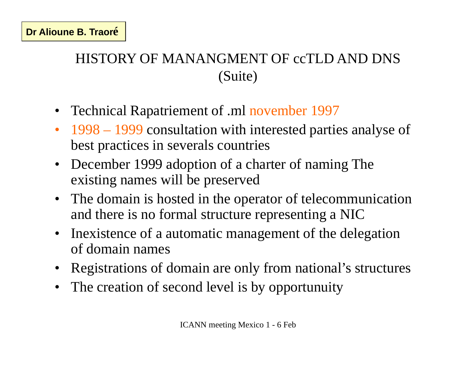#### HISTORY OF MANANGMENT OF ccTLD AND DNS (Suite)

- Technical Rapatriement of .ml november 1997
- 1998 1999 consultation with interested parties analyse of best practices in severals countries
- December 1999 adoption of a charter of naming The existing names will be preserved
- The domain is hosted in the operator of telecommunication and there is no formal structure representing a NIC
- Inexistence of a automatic management of the delegation of domain names
- Registrations of domain are only from national's structures
- The creation of second level is by opportunuity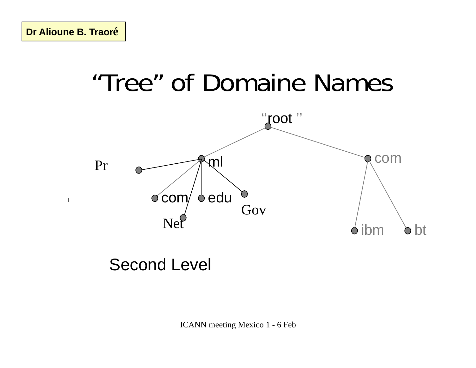

#### **Second Level**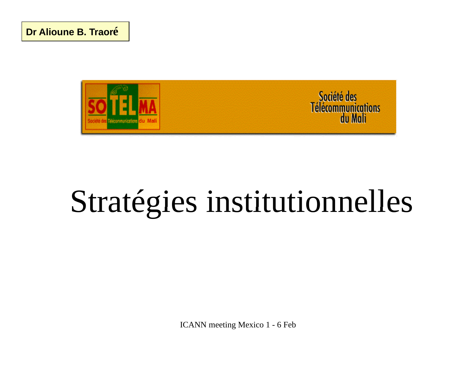Dr Alioune B. Traoré



# Stratégies institutionnelles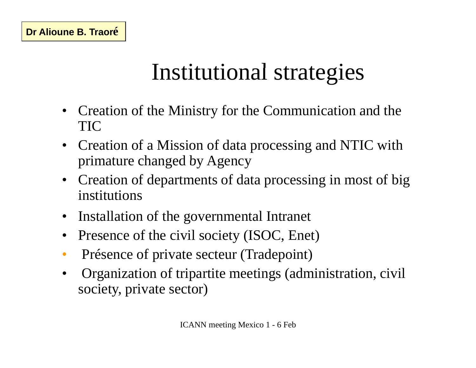### Institutional strategies

- Creation of the Ministry for the Communication and the TIC
- $\bullet$  Creation of a Mission of data processing and NTIC with primature changed by Agency
- $\bullet$  Creation of departments of data processing in most of big institutions
- $\bullet$ Installation of the governmental Intranet
- $\bullet$ Presence of the civil society (ISOC, Enet)
- $\bullet$ Présence of private secteur (Tradepoint)
- $\bullet$  Organization of tripartite meetings (administration, civil society, private sector)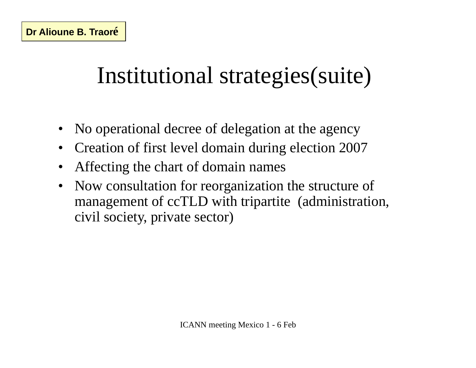### Institutional strategies (suite)

- No operational decree of delegation at the agency
- Creation of first level domain during election 2007
- Affecting the chart of domain names
- Now consultation for reorganization the structure of  $\bullet$ management of ccTLD with tripartite (administration, civil society, private sector)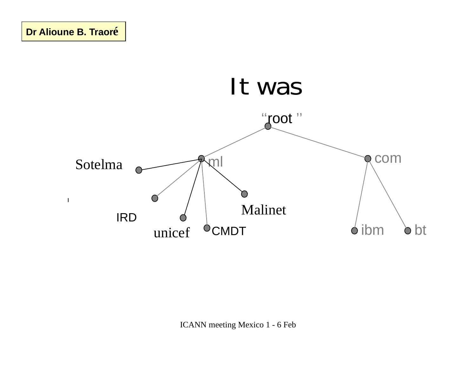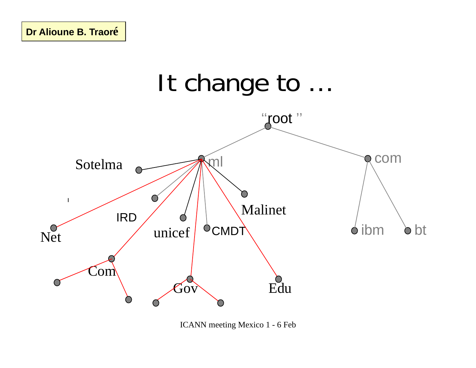

ICANN meeting Mexico 1 - 6 Feb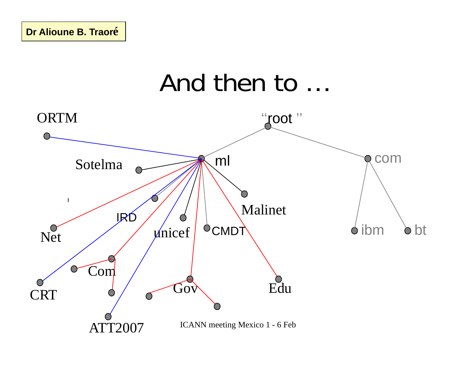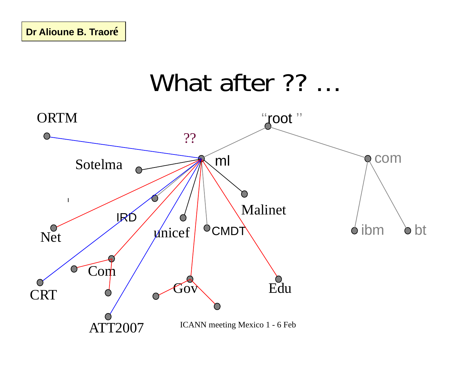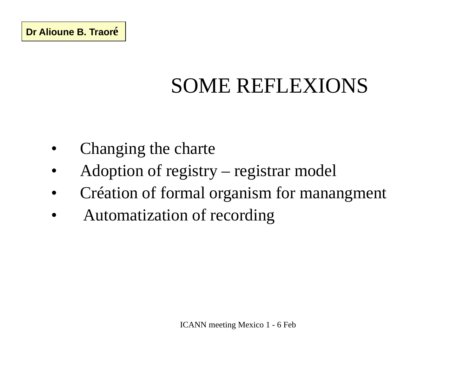### **SOME REFLEXIONS**

- Changing the charte
- Adoption of registry registrar model  $\bullet$
- Création of formal organism for manangment  $\bullet$
- Automatization of recording  $\bullet$